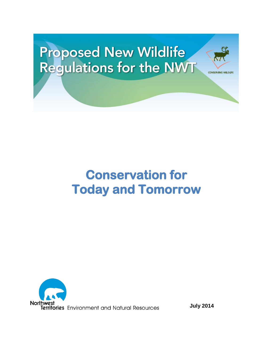# **Proposed New Wildlife<br>Regulations for the NWT**

# **Conservation for Today and Tomorrow**



**July 2014**

**CONSERVING WILDLIFE**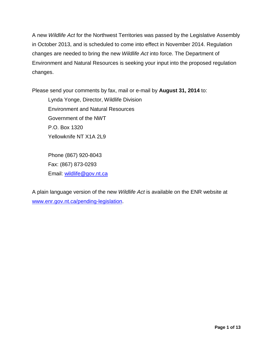A new *Wildlife Act* for the Northwest Territories was passed by the Legislative Assembly in October 2013, and is scheduled to come into effect in November 2014. Regulation changes are needed to bring the new *Wildlife Act* into force. The Department of Environment and Natural Resources is seeking your input into the proposed regulation changes.

Please send your comments by fax, mail or e-mail by **August 31, 2014** to:

Lynda Yonge, Director, Wildlife Division Environment and Natural Resources Government of the NWT P.O. Box 1320 Yellowknife NT X1A 2L9

Phone (867) 920-8043 Fax: (867) 873-0293 Email: [wildlife@gov.nt.ca](mailto:wildlife@gov.nt.ca)

A plain language version of the new *Wildlife Act* is available on the ENR website at [www.enr.gov.nt.ca/pending-legislation.](http://www.enr.gov.nt.ca/pending-legislation)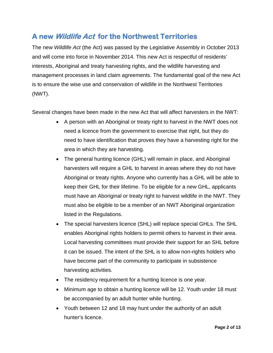## **A new Wildlife Act for the Northwest Territories**

The new *Wildlife Act* (the Act) was passed by the Legislative Assembly in October 2013 and will come into force in November 2014. This new Act is respectful of residents' interests, Aboriginal and treaty harvesting rights, and the wildlife harvesting and management processes in land claim agreements. The fundamental goal of the new Act is to ensure the wise use and conservation of wildlife in the Northwest Territories (NWT).

Several changes have been made in the new Act that will affect harvesters in the NWT:

- A person with an Aboriginal or treaty right to harvest in the NWT does not need a licence from the government to exercise that right, but they do need to have identification that proves they have a harvesting right for the area in which they are harvesting.
- The general hunting licence (GHL) will remain in place, and Aboriginal harvesters will require a GHL to harvest in areas where they do not have Aboriginal or treaty rights. Anyone who currently has a GHL will be able to keep their GHL for their lifetime. To be eligible for a new GHL, applicants must have an Aboriginal or treaty right to harvest wildlife in the NWT. They must also be eligible to be a member of an NWT Aboriginal organization listed in the Regulations.
- The special harvesters licence (SHL) will replace special GHLs. The SHL enables Aboriginal rights holders to permit others to harvest in their area. Local harvesting committees must provide their support for an SHL before it can be issued. The intent of the SHL is to allow non-rights holders who have become part of the community to participate in subsistence harvesting activities.
- The residency requirement for a hunting licence is one year.
- Minimum age to obtain a hunting licence will be 12. Youth under 18 must be accompanied by an adult hunter while hunting.
- Youth between 12 and 18 may hunt under the authority of an adult hunter's licence.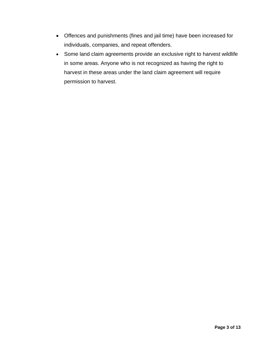- Offences and punishments (fines and jail time) have been increased for individuals, companies, and repeat offenders.
- Some land claim agreements provide an exclusive right to harvest wildlife in some areas. Anyone who is not recognized as having the right to harvest in these areas under the land claim agreement will require permission to harvest.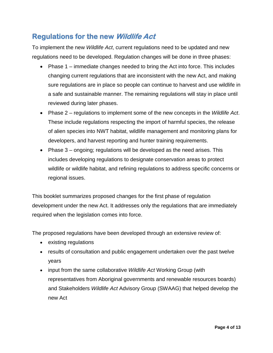## **Regulations for the new Wildlife Act**

To implement the new *Wildlife Act*, current regulations need to be updated and new regulations need to be developed. Regulation changes will be done in three phases:

- Phase 1 immediate changes needed to bring the Act into force. This includes changing current regulations that are inconsistent with the new Act, and making sure regulations are in place so people can continue to harvest and use wildlife in a safe and sustainable manner. The remaining regulations will stay in place until reviewed during later phases.
- Phase 2 regulations to implement some of the new concepts in the *Wildlife Act*. These include regulations respecting the import of harmful species, the release of alien species into NWT habitat, wildlife management and monitoring plans for developers, and harvest reporting and hunter training requirements.
- Phase 3 ongoing; regulations will be developed as the need arises. This includes developing regulations to designate conservation areas to protect wildlife or wildlife habitat, and refining regulations to address specific concerns or regional issues.

This booklet summarizes proposed changes for the first phase of regulation development under the new Act. It addresses only the regulations that are immediately required when the legislation comes into force.

The proposed regulations have been developed through an extensive review of:

- existing regulations
- results of consultation and public engagement undertaken over the past twelve years
- input from the same collaborative *Wildlife Act* Working Group (with representatives from Aboriginal governments and renewable resources boards) and Stakeholders *Wildlife Act* Advisory Group (SWAAG) that helped develop the new Act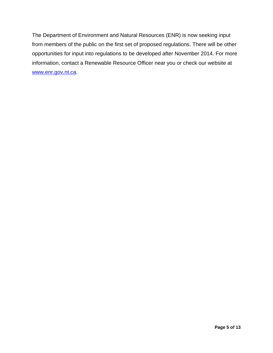The Department of Environment and Natural Resources (ENR) is now seeking input from members of the public on the first set of proposed regulations. There will be other opportunities for input into regulations to be developed after November 2014. For more information, contact a Renewable Resource Officer near you or check our website at [www.enr.gov.nt.ca.](http://www.enr.gov.nt.ca/)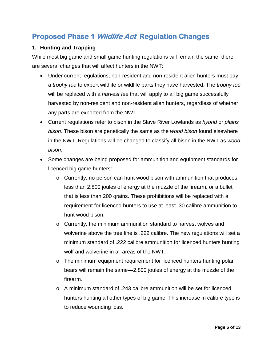# **Proposed Phase 1 Wildlife Act Regulation Changes**

#### **1. Hunting and Trapping**

While most big game and small game hunting regulations will remain the same, there are several changes that will affect hunters in the NWT:

- Under current regulations, non-resident and non-resident alien hunters must pay a *trophy fee* to export wildlife or wildlife parts they have harvested. The *trophy fee* will be replaced with a *harvest fee* that will apply to all big game successfully harvested by non-resident and non-resident alien hunters, regardless of whether any parts are exported from the NWT.
- Current regulations refer to bison in the Slave River Lowlands as *hybrid* or *plains bison*. These bison are genetically the same as the *wood bison* found elsewhere in the NWT. Regulations will be changed to classify all bison in the NWT as *wood bison*.
- Some changes are being proposed for ammunition and equipment standards for licenced big game hunters:
	- o Currently, no person can hunt wood bison with ammunition that produces less than 2,800 joules of energy at the muzzle of the firearm, or a bullet that is less than 200 grains. These prohibitions will be replaced with a requirement for licenced hunters to use at least .30 calibre ammunition to hunt wood bison.
	- o Currently, the minimum ammunition standard to harvest wolves and wolverine above the tree line is .222 calibre. The new regulations will set a minimum standard of .222 calibre ammunition for licenced hunters hunting wolf and wolverine in all areas of the NWT.
	- $\circ$  The minimum equipment requirement for licenced hunters hunting polar bears will remain the same—2,800 joules of energy at the muzzle of the firearm.
	- o A minimum standard of .243 calibre ammunition will be set for licenced hunters hunting all other types of big game. This increase in calibre type is to reduce wounding loss.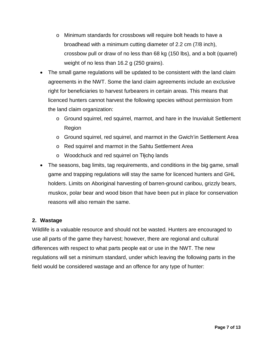- o Minimum standards for crossbows will require bolt heads to have a broadhead with a minimum cutting diameter of 2.2 cm (7/8 inch), crossbow pull or draw of no less than 68 kg (150 lbs), and a bolt (quarrel) weight of no less than 16.2 g (250 grains).
- The small game regulations will be updated to be consistent with the land claim agreements in the NWT. Some the land claim agreements include an exclusive right for beneficiaries to harvest furbearers in certain areas. This means that licenced hunters cannot harvest the following species without permission from the land claim organization:
	- $\circ$  Ground squirrel, red squirrel, marmot, and hare in the Inuvialuit Settlement Region
	- o Ground squirrel, red squirrel, and marmot in the Gwich'in Settlement Area
	- o Red squirrel and marmot in the Sahtu Settlement Area
	- o Woodchuck and red squirrel on Tłįchǫ lands
- The seasons, bag limits, tag requirements, and conditions in the big game, small game and trapping regulations will stay the same for licenced hunters and GHL holders. Limits on Aboriginal harvesting of barren-ground caribou, grizzly bears, muskox, polar bear and wood bison that have been put in place for conservation reasons will also remain the same.

#### **2. Wastage**

Wildlife is a valuable resource and should not be wasted. Hunters are encouraged to use all parts of the game they harvest; however, there are regional and cultural differences with respect to what parts people eat or use in the NWT. The new regulations will set a minimum standard, under which leaving the following parts in the field would be considered wastage and an offence for any type of hunter: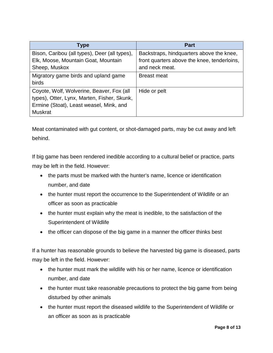| Type                                          | <b>Part</b>                                 |
|-----------------------------------------------|---------------------------------------------|
| Bison, Caribou (all types), Deer (all types), | Backstraps, hindquarters above the knee,    |
| Elk, Moose, Mountain Goat, Mountain           | front quarters above the knee, tenderloins, |
| Sheep, Muskox                                 | and neck meat.                              |
| Migratory game birds and upland game          | <b>Breast meat</b>                          |
| <b>birds</b>                                  |                                             |
| Coyote, Wolf, Wolverine, Beaver, Fox (all     | Hide or pelt                                |
| types), Otter, Lynx, Marten, Fisher, Skunk,   |                                             |
| Ermine (Stoat), Least weasel, Mink, and       |                                             |
| <b>Muskrat</b>                                |                                             |

Meat contaminated with gut content, or shot-damaged parts, may be cut away and left behind.

If big game has been rendered inedible according to a cultural belief or practice, parts may be left in the field. However:

- the parts must be marked with the hunter's name, licence or identification number, and date
- the hunter must report the occurrence to the Superintendent of Wildlife or an officer as soon as practicable
- the hunter must explain why the meat is inedible, to the satisfaction of the Superintendent of Wildlife
- the officer can dispose of the big game in a manner the officer thinks best

If a hunter has reasonable grounds to believe the harvested big game is diseased, parts may be left in the field. However:

- the hunter must mark the wildlife with his or her name, licence or identification number, and date
- the hunter must take reasonable precautions to protect the big game from being disturbed by other animals
- the hunter must report the diseased wildlife to the Superintendent of Wildlife or an officer as soon as is practicable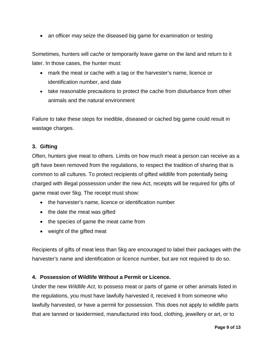• an officer may seize the diseased big game for examination or testing

Sometimes, hunters will *cache* or temporarily leave game on the land and return to it later. In those cases, the hunter must:

- mark the meat or cache with a tag or the harvester's name, licence or identification number, and date
- take reasonable precautions to protect the cache from disturbance from other animals and the natural environment

Failure to take these steps for inedible, diseased or cached big game could result in wastage charges.

#### **3. Gifting**

Often, hunters give meat to others. Limits on how much meat a person can receive as a gift have been removed from the regulations, to respect the tradition of sharing that is common to all cultures. To protect recipients of gifted wildlife from potentially being charged with illegal possession under the new Act, receipts will be required for gifts of game meat over 5kg. The receipt must show:

- the harvester's name, licence or identification number
- the date the meat was gifted
- the species of game the meat came from
- weight of the gifted meat

Recipients of gifts of meat less than 5kg are encouraged to label their packages with the harvester's name and identification or licence number, but are not required to do so.

#### **4. Possession of Wildlife Without a Permit or Licence.**

Under the new *Wildlife Act*, to possess meat or parts of game or other animals listed in the regulations, you must have lawfully harvested it, received it from someone who lawfully harvested, or have a permit for possession. This does not apply to wildlife parts that are tanned or taxidermied, manufactured into food, clothing, jewellery or art, or to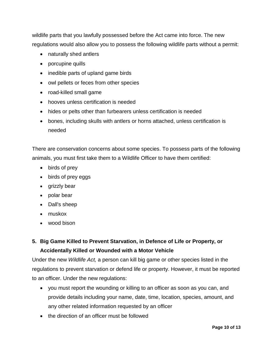wildlife parts that you lawfully possessed before the Act came into force. The new regulations would also allow you to possess the following wildlife parts without a permit:

- naturally shed antlers
- porcupine quills
- inedible parts of upland game birds
- owl pellets or feces from other species
- road-killed small game
- hooves unless certification is needed
- hides or pelts other than furbearers unless certification is needed
- bones, including skulls with antlers or horns attached, unless certification is needed

There are conservation concerns about some species. To possess parts of the following animals, you must first take them to a Wildlife Officer to have them certified:

- birds of prey
- birds of prey eggs
- grizzly bear
- polar bear
- Dall's sheep
- muskox
- wood bison

#### **5. Big Game Killed to Prevent Starvation, in Defence of Life or Property, or Accidentally Killed or Wounded with a Motor Vehicle**

Under the new *Wildlife Act,* a person can kill big game or other species listed in the regulations to prevent starvation or defend life or property. However, it must be reported to an officer. Under the new regulations:

- you must report the wounding or killing to an officer as soon as you can, and provide details including your name, date, time, location, species, amount, and any other related information requested by an officer
- the direction of an officer must be followed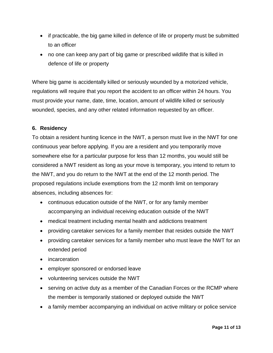- if practicable, the big game killed in defence of life or property must be submitted to an officer
- no one can keep any part of big game or prescribed wildlife that is killed in defence of life or property

Where big game is accidentally killed or seriously wounded by a motorized vehicle, regulations will require that you report the accident to an officer within 24 hours. You must provide your name, date, time, location, amount of wildlife killed or seriously wounded, species, and any other related information requested by an officer.

#### **6. Residency**

To obtain a resident hunting licence in the NWT, a person must live in the NWT for one continuous year before applying. If you are a resident and you temporarily move somewhere else for a particular purpose for less than 12 months, you would still be considered a NWT resident as long as your move is temporary, you intend to return to the NWT, and you do return to the NWT at the end of the 12 month period. The proposed regulations include exemptions from the 12 month limit on temporary absences, including absences for:

- continuous education outside of the NWT, or for any family member accompanying an individual receiving education outside of the NWT
- medical treatment including mental health and addictions treatment
- providing caretaker services for a family member that resides outside the NWT
- providing caretaker services for a family member who must leave the NWT for an extended period
- incarceration
- employer sponsored or endorsed leave
- volunteering services outside the NWT
- serving on active duty as a member of the Canadian Forces or the RCMP where the member is temporarily stationed or deployed outside the NWT
- a family member accompanying an individual on active military or police service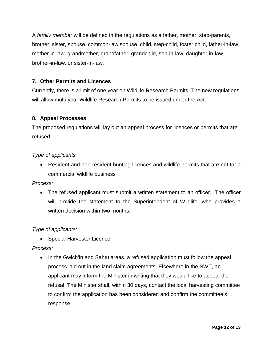A *family member* will be defined in the regulations as a father, mother, step-parents, brother, sister, spouse, common-law spouse, child, step-child, foster child, father-in-law, mother-in-law, grandmother, grandfather, grandchild, son-in-law, daughter-in-law, brother-in-law, or sister-in-law.

#### **7. Other Permits and Licences**

Currently, there is a limit of one year on Wildlife Research Permits. The new regulations will allow multi-year Wildlife Research Permits to be issued under the Act.

#### **8. Appeal Processes**

The proposed regulations will lay out an appeal process for licences or permits that are refused.

#### *Type of applicants:*

• Resident and non-resident hunting licences and wildlife permits that are not for a commercial wildlife business

*Process:*

• The refused applicant must submit a written statement to an officer. The officer will provide the statement to the Superintendent of Wildlife, who provides a written decision within two months.

*Type of applicants:*

• Special Harvester Licence

*Process:*

• In the Gwich'in and Sahtu areas, a refused application must follow the appeal process laid out in the land claim agreements. Elsewhere in the NWT, an applicant may inform the Minister in writing that they would like to appeal the refusal. The Minister shall, within 30 days, contact the local harvesting committee to confirm the application has been considered and confirm the committee's response.